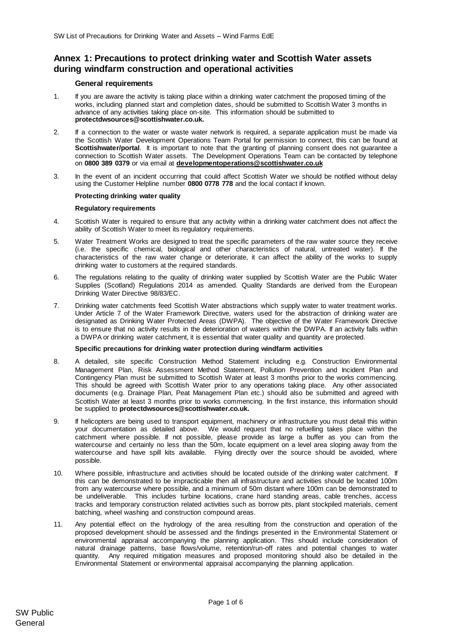# **Annex 1: Precautions to protect drinking water and Scottish Water assets during windfarm construction and operational activities**

## **General requirements**

- 1. If you are aware the activity is taking place within a drinking water catchment the proposed timing of the works, including planned start and completion dates, should be submitted to Scottish Water 3 months in advance of any activities taking place on-site. This information should be submitted to **protectdwsources@scottishwater.co.uk.**
- 2. If a connection to the water or waste water network is required, a separate application must be made via the Scottish Water Development Operations Team Portal for permission to connect, this can be found at **Scottishwater/portal**. It is important to note that the granting of planning consent does not guarantee a connection to Scottish Water assets. The Development Operations Team can be contacted by telephone on **0800 389 0379** or via email at **[developmentoperations@scottishwater.co.uk](mailto:developmentoperations@scottishwater.co.uk)**
- 3. In the event of an incident occurring that could affect Scottish Water we should be notified without delay using the Customer Helpline number **0800 0778 778** and the local contact if known.

## **Protecting drinking water quality**

### **Regulatory requirements**

- 4. Scottish Water is required to ensure that any activity within a drinking water catchment does not affect the ability of Scottish Water to meet its regulatory requirements.
- 5. Water Treatment Works are designed to treat the specific parameters of the raw water source they receive (i.e. the specific chemical, biological and other characteristics of natural, untreated water). If the characteristics of the raw water change or deteriorate, it can affect the ability of the works to supply drinking water to customers at the required standards.
- 6. The regulations relating to the quality of drinking water supplied by Scottish Water are the Public Water Supplies (Scotland) Regulations 2014 as amended. Quality Standards are derived from the European Drinking Water Directive 98/83/EC.
- 7. Drinking water catchments feed Scottish Water abstractions which supply water to water treatment works. Under Article 7 of the Water Framework Directive, waters used for the abstraction of drinking water are designated as Drinking Water Protected Areas (DWPA). The objective of the Water Framework Directive is to ensure that no activity results in the deterioration of waters within the DWPA. If an activity falls within a DWPA or drinking water catchment, it is essential that water quality and quantity are protected.

### **Specific precautions for drinking water protection during windfarm activities**

- 8. A detailed, site specific Construction Method Statement including e.g. Construction Environmental Management Plan, Risk Assessment Method Statement, Pollution Prevention and Incident Plan and Contingency Plan must be submitted to Scottish Water at least 3 months prior to the works commencing. This should be agreed with Scottish Water prior to any operations taking place. Any other associated documents (e.g. Drainage Plan, Peat Management Plan etc.) should also be submitted and agreed with Scottish Water at least 3 months prior to works commencing. In the first instance, this information should be supplied to **protectdwsources@scottishwater.co.uk.**
- 9. If helicopters are being used to transport equipment, machinery or infrastructure you must detail this within your documentation as detailed above. We would request that no refuelling takes place within the catchment where possible. If not possible, please provide as large a buffer as you can from the watercourse and certainly no less than the 50m, locate equipment on a level area sloping away from the watercourse and have spill kits available. Flying directly over the source should be avoided, where possible.
- 10. Where possible, infrastructure and activities should be located outside of the drinking water catchment. If this can be demonstrated to be impracticable then all infrastructure and activities should be located 100m from any watercourse where possible, and a minimum of 50m distant where 100m can be demonstrated to be undeliverable. This includes turbine locations, crane hard standing areas, cable trenches, access tracks and temporary construction related activities such as borrow pits, plant stockpiled materials, cement batching, wheel washing and construction compound areas.
- 11. Any potential effect on the hydrology of the area resulting from the construction and operation of the proposed development should be assessed and the findings presented in the Environmental Statement or environmental appraisal accompanying the planning application. This should include consideration of natural drainage patterns, base flows/volume, retention/run-off rates and potential changes to water quantity. Any required mitigation measures and proposed monitoring should also be detailed in the Environmental Statement or environmental appraisal accompanying the planning application.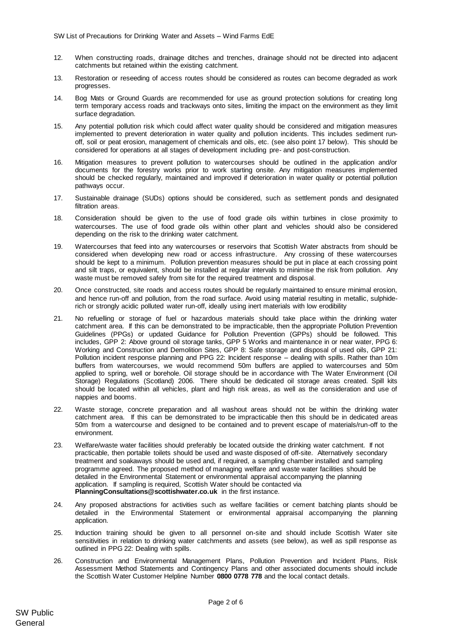- 12. When constructing roads, drainage ditches and trenches, drainage should not be directed into adjacent catchments but retained within the existing catchment.
- 13. Restoration or reseeding of access routes should be considered as routes can become degraded as work progresses.
- 14. Bog Mats or Ground Guards are recommended for use as ground protection solutions for creating long term temporary access roads and trackways onto sites, limiting the impact on the environment as they limit surface degradation.
- 15. Any potential pollution risk which could affect water quality should be considered and mitigation measures implemented to prevent deterioration in water quality and pollution incidents. This includes sediment runoff, soil or peat erosion, management of chemicals and oils, etc. (see also point 17 below). This should be considered for operations at all stages of development including pre- and post-construction.
- 16. Mitigation measures to prevent pollution to watercourses should be outlined in the application and/or documents for the forestry works prior to work starting onsite. Any mitigation measures implemented should be checked regularly, maintained and improved if deterioration in water quality or potential pollution pathways occur.
- 17. Sustainable drainage (SUDs) options should be considered, such as settlement ponds and designated filtration areas.
- 18. Consideration should be given to the use of food grade oils within turbines in close proximity to watercourses. The use of food grade oils within other plant and vehicles should also be considered depending on the risk to the drinking water catchment.
- 19. Watercourses that feed into any watercourses or reservoirs that Scottish Water abstracts from should be considered when developing new road or access infrastructure. Any crossing of these watercourses should be kept to a minimum. Pollution prevention measures should be put in place at each crossing point and silt traps, or equivalent, should be installed at regular intervals to minimise the risk from pollution. Any waste must be removed safely from site for the required treatment and disposal.
- 20. Once constructed, site roads and access routes should be regularly maintained to ensure minimal erosion, and hence run-off and pollution, from the road surface. Avoid using material resulting in metallic, sulphiderich or strongly acidic polluted water run-off, ideally using inert materials with low erodibility
- 21. No refuelling or storage of fuel or hazardous materials should take place within the drinking water catchment area. If this can be demonstrated to be impracticable, then the appropriate Pollution Prevention Guidelines (PPGs) or updated Guidance for Pollution Prevention (GPPs) should be followed. This includes, GPP 2: Above ground oil storage tanks, GPP 5 Works and maintenance in or near water, PPG 6: Working and Construction and Demolition Sites, GPP 8: Safe storage and disposal of used oils, GPP 21: Pollution incident response planning and PPG 22: Incident response – dealing with spills. Rather than 10m buffers from watercourses, we would recommend 50m buffers are applied to watercourses and 50m applied to spring, well or borehole. Oil storage should be in accordance with The Water Environment (Oil Storage) Regulations (Scotland) 2006. There should be dedicated oil storage areas created. Spill kits should be located within all vehicles, plant and high risk areas, as well as the consideration and use of nappies and booms.
- 22. Waste storage, concrete preparation and all washout areas should not be within the drinking water catchment area. If this can be demonstrated to be impracticable then this should be in dedicated areas 50m from a watercourse and designed to be contained and to prevent escape of materials/run-off to the environment.
- 23. Welfare/waste water facilities should preferably be located outside the drinking water catchment. If not practicable, then portable toilets should be used and waste disposed of off-site. Alternatively secondary treatment and soakaways should be used and, if required, a sampling chamber installed and sampling programme agreed. The proposed method of managing welfare and waste water facilities should be detailed in the Environmental Statement or environmental appraisal accompanying the planning application. If sampling is required, Scottish Water should be contacted via **PlanningConsultations@scottishwater.co.uk** in the first instance.
- 24. Any proposed abstractions for activities such as welfare facilities or cement batching plants should be detailed in the Environmental Statement or environmental appraisal accompanying the planning application.
- 25. Induction training should be given to all personnel on-site and should include Scottish Water site sensitivities in relation to drinking water catchments and assets (see below), as well as spill response as outlined in PPG 22: Dealing with spills.
- 26. Construction and Environmental Management Plans, Pollution Prevention and Incident Plans, Risk Assessment Method Statements and Contingency Plans and other associated documents should include the Scottish Water Customer Helpline Number **0800 0778 778** and the local contact details.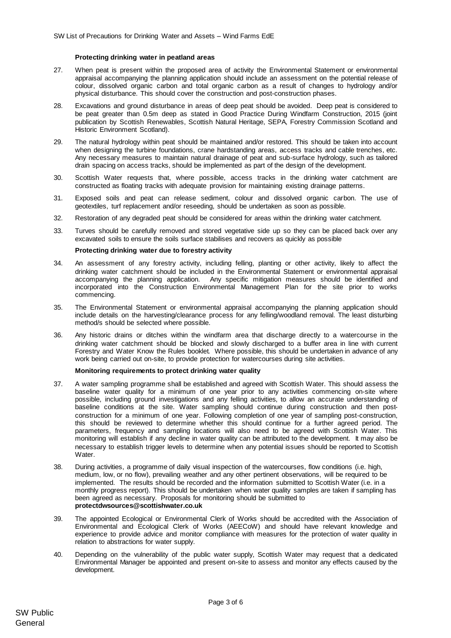### **Protecting drinking water in peatland areas**

- 27. When peat is present within the proposed area of activity the Environmental Statement or environmental appraisal accompanying the planning application should include an assessment on the potential release of colour, dissolved organic carbon and total organic carbon as a result of changes to hydrology and/or physical disturbance. This should cover the construction and post-construction phases.
- 28. Excavations and ground disturbance in areas of deep peat should be avoided. Deep peat is considered to be peat greater than 0.5m deep as stated in Good Practice During Windfarm Construction, 2015 (joint publication by Scottish Renewables, Scottish Natural Heritage, SEPA, Forestry Commission Scotland and Historic Environment Scotland).
- 29. The natural hydrology within peat should be maintained and/or restored. This should be taken into account when designing the turbine foundations, crane hardstanding areas, access tracks and cable trenches, etc. Any necessary measures to maintain natural drainage of peat and sub-surface hydrology, such as tailored drain spacing on access tracks, should be implemented as part of the design of the development.
- 30. Scottish Water requests that, where possible, access tracks in the drinking water catchment are constructed as floating tracks with adequate provision for maintaining existing drainage patterns.
- 31. Exposed soils and peat can release sediment, colour and dissolved organic carbon. The use of geotextiles, turf replacement and/or reseeding, should be undertaken as soon as possible.
- 32. Restoration of any degraded peat should be considered for areas within the drinking water catchment.
- 33. Turves should be carefully removed and stored vegetative side up so they can be placed back over any excavated soils to ensure the soils surface stabilises and recovers as quickly as possible

#### **Protecting drinking water due to forestry activity**

- 34. An assessment of any forestry activity, including felling, planting or other activity, likely to affect the drinking water catchment should be included in the Environmental Statement or environmental appraisal accompanying the planning application. Any specific mitigation measures should be identified and incorporated into the Construction Environmental Management Plan for the site prior to works commencing.
- 35. The Environmental Statement or environmental appraisal accompanying the planning application should include details on the harvesting/clearance process for any felling/woodland removal. The least disturbing method/s should be selected where possible.
- 36. Any historic drains or ditches within the windfarm area that discharge directly to a watercourse in the drinking water catchment should be blocked and slowly discharged to a buffer area in line with current Forestry and Water Know the Rules booklet. Where possible, this should be undertaken in advance of any work being carried out on-site, to provide protection for watercourses during site activities.

#### **Monitoring requirements to protect drinking water quality**

- 37. A water sampling programme shall be established and agreed with Scottish Water. This should assess the baseline water quality for a minimum of one year prior to any activities commencing on-site where possible, including ground investigations and any felling activities, to allow an accurate understanding of baseline conditions at the site. Water sampling should continue during construction and then postconstruction for a minimum of one year. Following completion of one year of sampling post-construction, this should be reviewed to determine whether this should continue for a further agreed period. The parameters, frequency and sampling locations will also need to be agreed with Scottish Water. This monitoring will establish if any decline in water quality can be attributed to the development. It may also be necessary to establish trigger levels to determine when any potential issues should be reported to Scottish **Water**
- 38. During activities, a programme of daily visual inspection of the watercourses, flow conditions (i.e. high, medium, low, or no flow), prevailing weather and any other pertinent observations, will be required to be implemented. The results should be recorded and the information submitted to Scottish Water (i.e. in a monthly progress report). This should be undertaken when water quality samples are taken if sampling has been agreed as necessary. Proposals for monitoring should be submitted to **protectdwsources@scottishwater.co.uk**
- 39. The appointed Ecological or Environmental Clerk of Works should be accredited with the Association of Environmental and Ecological Clerk of Works (AEECoW) and should have relevant knowledge and experience to provide advice and monitor compliance with measures for the protection of water quality in relation to abstractions for water supply.
- 40. Depending on the vulnerability of the public water supply, Scottish Water may request that a dedicated Environmental Manager be appointed and present on-site to assess and monitor any effects caused by the development.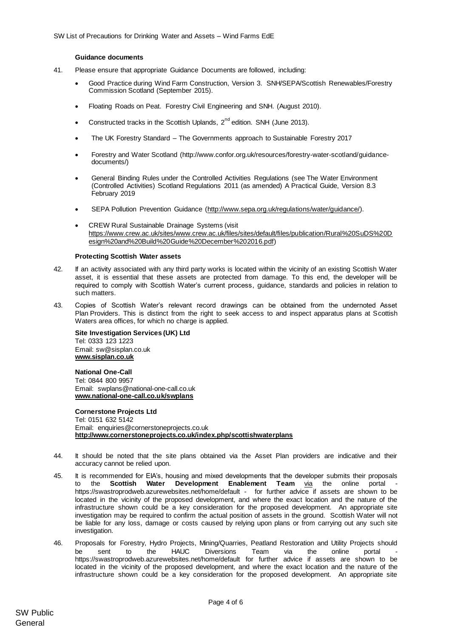### **Guidance documents**

- 41. Please ensure that appropriate Guidance Documents are followed, including:
	- Good Practice during Wind Farm Construction, Version 3. SNH/SEPA/Scottish Renewables/Forestry Commission Scotland (September 2015).
	- Floating Roads on Peat. Forestry Civil Engineering and SNH. (August 2010).
	- Constructed tracks in the Scottish Uplands,  $2^{nd}$  edition. SNH (June 2013).
	- The UK Forestry Standard The Governments approach to Sustainable Forestry 2017
	- Forestry and Water Scotland (http://www.confor.org.uk/resources/forestry-water-scotland/guidancedocuments/)
	- General Binding Rules under the Controlled Activities Regulations (see The Water Environment (Controlled Activities) Scotland Regulations 2011 (as amended) A Practical Guide, Version 8.3 February 2019
	- SEPA Pollution Prevention Guidance [\(http://www.sepa.org.uk/regulations/water/guidance/\).](http://www.sepa.org.uk/regulations/water/guidance/)
	- CREW Rural Sustainable Drainage Systems (visit [https://www.crew.ac.uk/sites/www.crew.ac.uk/files/sites/default/files/publication/Rural%20SuDS%20D](https://www.crew.ac.uk/sites/www.crew.ac.uk/files/sites/default/files/publication/Rural%20SuDS%20Design%20and%20Build%20Guide%20December%202016.pdf) [esign%20and%20Build%20Guide%20December%202016.pdf\)](https://www.crew.ac.uk/sites/www.crew.ac.uk/files/sites/default/files/publication/Rural%20SuDS%20Design%20and%20Build%20Guide%20December%202016.pdf)

#### **Protecting Scottish Water assets**

- 42. If an activity associated with any third party works is located within the vicinity of an existing Scottish Water asset, it is essential that these assets are protected from damage. To this end, the developer will be required to comply with Scottish Water's current process, guidance, standards and policies in relation to such matters.
- 43. Copies of Scottish Water's relevant record drawings can be obtained from the undernoted Asset Plan Providers. This is distinct from the right to seek access to and inspect apparatus plans at Scottish Waters area offices, for which no charge is applied.

**Site Investigation Services (UK) Ltd** Tel: 0333 123 1223 Email: sw@sisplan.co.uk **[www.sisplan.co.uk](http://www.sisplan.co.uk/)**

**National One-Call** Tel: 0844 800 9957 Email: swplans@national-one-call.co.uk **[www.national-one-call.co.uk/swplans](http://www.national-one-call.co.uk/swplans)**

**Cornerstone Projects Ltd**  Tel: 0151 632 5142 Email: [enquiries@cornerstoneprojects.co.uk](mailto:enquiries@cornerstoneprojects.co.uk) **http://www.cornerstoneprojects.co.uk/index.php/scottishwaterplans**

- 44. It should be noted that the site plans obtained via the Asset Plan providers are indicative and their accuracy cannot be relied upon.
- 45. It is recommended for EIA's, housing and mixed developments that the developer submits their proposals to the **Scottish Water Development Enablement Team** [via](mailto:via) the online portal <https://swastroprodweb.azurewebsites.net/home/default> - for further advice if assets are shown to be located in the vicinity of the proposed development, and where the exact location and the nature of the infrastructure shown could be a key consideration for the proposed development. An appropriate site investigation may be required to confirm the actual position of assets in the ground. Scottish Water will not be liable for any loss, damage or costs caused by relying upon plans or from carrying out any such site investigation.
- 46. Proposals for Forestry, Hydro Projects, Mining/Quarries, Peatland Restoration and Utility Projects should be sent to the HAUC Diversions Team via [the](mailto:Hauc.diversions@scottishwater.co.uk) online portal <https://swastroprodweb.azurewebsites.net/home/default> for further advice if assets are shown to be located in the vicinity of the proposed development, and where the exact location and the nature of the infrastructure shown could be a key consideration for the proposed development. An appropriate site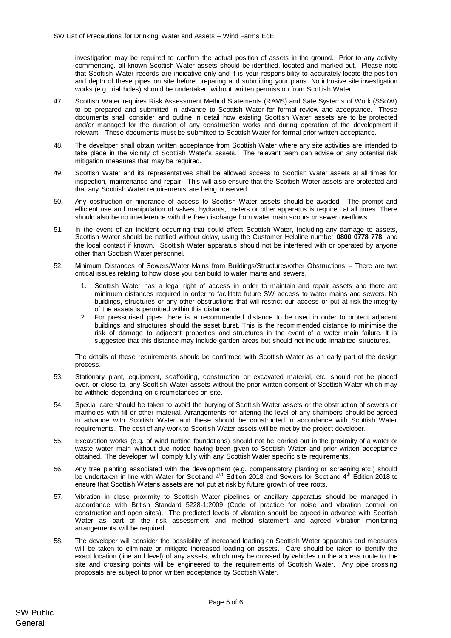investigation may be required to confirm the actual position of assets in the ground. Prior to any activity commencing, all known Scottish Water assets should be identified, located and marked-out. Please note that Scottish Water records are indicative only and it is your responsibility to accurately locate the position and depth of these pipes on site before preparing and submitting your plans. No intrusive site investigation works (e.g. trial holes) should be undertaken without written permission from Scottish Water.

- 47. Scottish Water requires Risk Assessment Method Statements (RAMS) and Safe Systems of Work (SSoW) to be prepared and submitted in advance to Scottish Water for formal review and acceptance. These documents shall consider and outline in detail how existing Scottish Water assets are to be protected and/or managed for the duration of any construction works and during operation of the development if relevant. These documents must be submitted to Scottish Water for formal prior written acceptance.
- 48. The developer shall obtain written acceptance from Scottish Water where any site activities are intended to take place in the vicinity of Scottish Water's assets. The relevant team can advise on any potential risk mitigation measures that may be required.
- 49. Scottish Water and its representatives shall be allowed access to Scottish Water assets at all times for inspection, maintenance and repair. This will also ensure that the Scottish Water assets are protected and that any Scottish Water requirements are being observed.
- 50. Any obstruction or hindrance of access to Scottish Water assets should be avoided. The prompt and efficient use and manipulation of valves, hydrants, meters or other apparatus is required at all times. There should also be no interference with the free discharge from water main scours or sewer overflows.
- 51. In the event of an incident occurring that could affect Scottish Water, including any damage to assets, Scottish Water should be notified without delay, using the Customer Helpline number **0800 0778 778**, and the local contact if known. Scottish Water apparatus should not be interfered with or operated by anyone other than Scottish Water personnel.
- 52. Minimum Distances of Sewers/Water Mains from Buildings/Structures/other Obstructions There are two critical issues relating to how close you can build to water mains and sewers.
	- 1. Scottish Water has a legal right of access in order to maintain and repair assets and there are minimum distances required in order to facilitate future SW access to water mains and sewers. No buildings, structures or any other obstructions that will restrict our access or put at risk the integrity of the assets is permitted within this distance.
	- 2. For pressurised pipes there is a recommended distance to be used in order to protect adjacent buildings and structures should the asset burst. This is the recommended distance to minimise the risk of damage to adjacent properties and structures in the event of a water main failure. It is suggested that this distance may include garden areas but should not include inhabited structures.

The details of these requirements should be confirmed with Scottish Water as an early part of the design process.

- 53. Stationary plant, equipment, scaffolding, construction or excavated material, etc. should not be placed over, or close to, any Scottish Water assets without the prior written consent of Scottish Water which may be withheld depending on circumstances on-site.
- 54. Special care should be taken to avoid the burying of Scottish Water assets or the obstruction of sewers or manholes with fill or other material. Arrangements for altering the level of any chambers should be agreed in advance with Scottish Water and these should be constructed in accordance with Scottish Water requirements. The cost of any work to Scottish Water assets will be met by the project developer.
- 55. Excavation works (e.g. of wind turbine foundations) should not be carried out in the proximity of a water or waste water main without due notice having been given to Scottish Water and prior written acceptance obtained. The developer will comply fully with any Scottish Water specific site requirements.
- 56. Any tree planting associated with the development (e.g. compensatory planting or screening etc.) should be undertaken in line with Water for Scotland 4<sup>th</sup> Edition 2018 to be undertaken in line with Water for Scotland ensure that Scottish Water's assets are not put at risk by future growth of tree roots.
- 57. Vibration in close proximity to Scottish Water pipelines or ancillary apparatus should be managed in accordance with British Standard 5228-1:2009 (Code of practice for noise and vibration control on construction and open sites). The predicted levels of vibration should be agreed in advance with Scottish Water as part of the risk assessment and method statement and agreed vibration monitoring arrangements will be required.
- 58. The developer will consider the possibility of increased loading on Scottish Water apparatus and measures will be taken to eliminate or mitigate increased loading on assets. Care should be taken to identify the exact location (line and level) of any assets, which may be crossed by vehicles on the access route to the site and crossing points will be engineered to the requirements of Scottish Water. Any pipe crossing proposals are subject to prior written acceptance by Scottish Water.